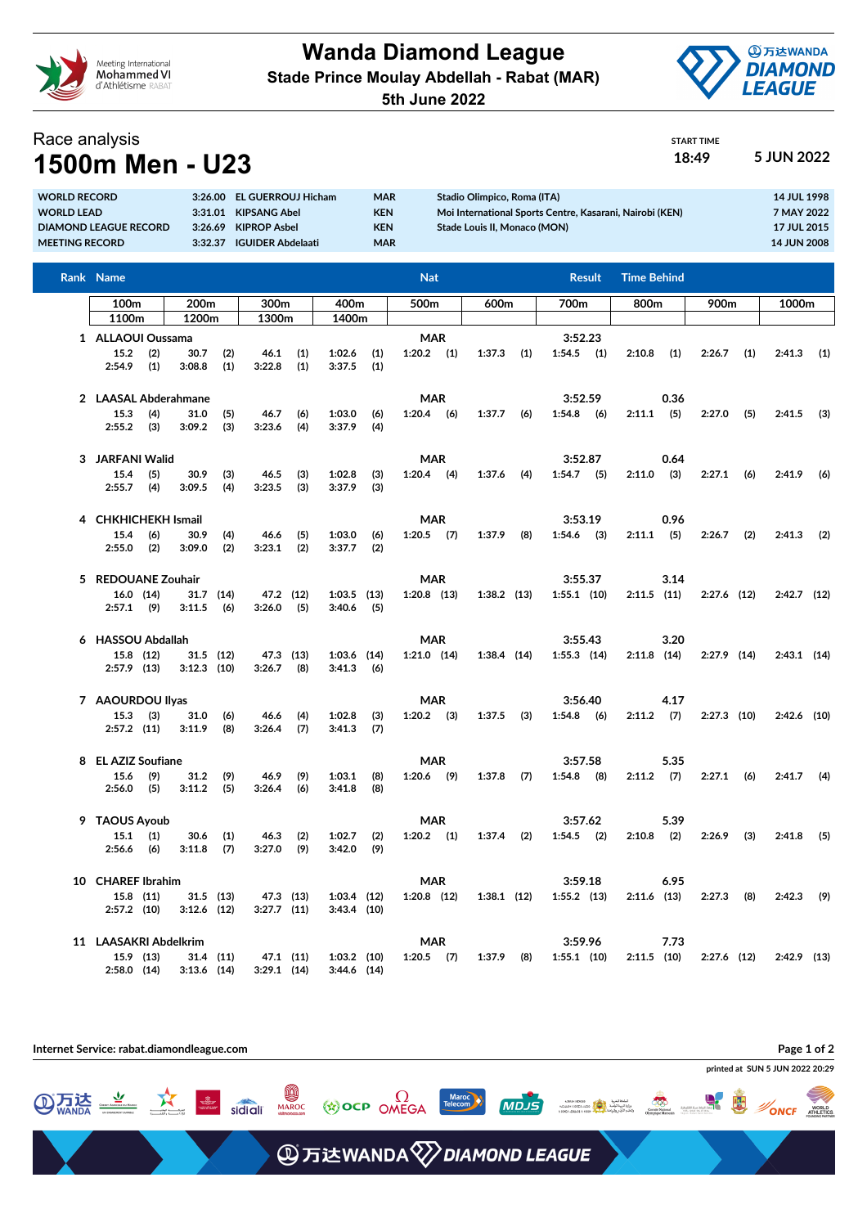

**Wanda Diamond League Stade Prince Moulay Abdellah - Rabat (MAR)**

**5th June 2022**



START TIME

## Race analysis **1500m Men - U23 18:49 5 JUN 2022**

| <b>LUUUILI MEIL - UZJ</b>    |         |                            |            |                                                          |                    |  |  |  |  |  |  |  |  |
|------------------------------|---------|----------------------------|------------|----------------------------------------------------------|--------------------|--|--|--|--|--|--|--|--|
| <b>WORLD RECORD</b>          |         | 3:26.00 EL GUERROUJ Hicham | <b>MAR</b> | Stadio Olimpico, Roma (ITA)                              | 14 JUL 1998        |  |  |  |  |  |  |  |  |
| <b>WORLD LEAD</b>            |         | 3:31.01 KIPSANG Abel       | <b>KEN</b> | Moi International Sports Centre, Kasarani, Nairobi (KEN) | 7 MAY 2022         |  |  |  |  |  |  |  |  |
| <b>DIAMOND LEAGUE RECORD</b> | 3:26.69 | KIPROP Asbel               | <b>KEN</b> | Stade Louis II, Monaco (MON)                             | <b>17 JUL 2015</b> |  |  |  |  |  |  |  |  |

| MEETING RECORD |                             |                         |                       |             | 3:32.37 IGUIDER Abdelaati |            |                         | <b>MAR</b>  |                  |     |               |     |               |         |                    |      |               |     | <b>14 JUN 2008</b> |     |
|----------------|-----------------------------|-------------------------|-----------------------|-------------|---------------------------|------------|-------------------------|-------------|------------------|-----|---------------|-----|---------------|---------|--------------------|------|---------------|-----|--------------------|-----|
|                | Rank Name                   |                         |                       |             |                           |            |                         |             | <b>Nat</b>       |     |               |     | <b>Result</b> |         | <b>Time Behind</b> |      |               |     |                    |     |
|                | 100 <sub>m</sub>            |                         | 200 <sub>m</sub>      |             | 300m                      |            | 400m                    |             | 500 <sub>m</sub> |     | 600m          |     | 700m          |         | 800m               |      | 900m          |     | 1000m              |     |
|                | 1100m                       |                         | 1200m                 |             | 1300m                     |            | 1400m                   |             |                  |     |               |     |               |         |                    |      |               |     |                    |     |
|                | 1 ALLAOUI Oussama           |                         |                       |             |                           |            |                         |             | <b>MAR</b>       |     |               |     | 3:52.23       |         |                    |      |               |     |                    |     |
|                | 15.2<br>2:54.9              | (2)<br>(1)              | 30.7<br>3:08.8        | (2)<br>(1)  | 46.1<br>3:22.8            | (1)<br>(1) | 1:02.6<br>3:37.5        | (1)<br>(1)  | $1:20.2$ (1)     |     | 1:37.3        | (1) | $1:54.5$ (1)  |         | 2:10.8             | (1)  | 2:26.7        | (1) | 2:41.3             | (1) |
| 2              | <b>LAASAL Abderahmane</b>   |                         |                       |             |                           |            |                         | <b>MAR</b>  |                  |     |               |     |               | 3:52.59 |                    | 0.36 |               |     |                    |     |
|                | 15.3<br>2:55.2              | (4)<br>(3)              | 31.0<br>3:09.2        | (5)<br>(3)  | 46.7<br>3:23.6            | (6)<br>(4) | 1:03.0<br>3:37.9        | (6)<br>(4)  | 1:20.4           | (6) | 1:37.7        | (6) | 1:54.8        | (6)     | $2:11.1$ (5)       |      | 2:27.0        | (5) | 2:41.5             | (3) |
| 3              | <b>JARFANI Walid</b>        |                         |                       |             |                           |            |                         |             | <b>MAR</b>       |     |               |     | 3:52.87       |         |                    | 0.64 |               |     |                    |     |
|                | 15.4<br>2:55.7              | (5)<br>(4)              | 30.9<br>3:09.5        | (3)<br>(4)  | 46.5<br>3:23.5            | (3)<br>(3) | 1:02.8<br>3:37.9        | (3)<br>(3)  | 1:20.4           | (4) | 1:37.6        | (4) | $1:54.7$ (5)  |         | 2:11.0             | (3)  | 2:27.1        | (6) | 2:41.9             | (6) |
| 4              | <b>CHKHICHEKH Ismail</b>    |                         |                       |             |                           |            | <b>MAR</b>              |             |                  |     | 3:53.19       |     |               |         | 0.96               |      |               |     |                    |     |
|                | 15.4<br>2:55.0              | (6)<br>(2)              | 30.9<br>3:09.0        | (4)<br>(2)  | 46.6<br>3:23.1            | (5)<br>(2) | 1:03.0<br>3:37.7        | (6)<br>(2)  | 1:20.5           | (7) | 1:37.9        | (8) | 1:54.6        | (3)     | 2:11.1             | (5)  | 2:26.7        | (2) | 2:41.3             | (2) |
| 5.             |                             | <b>REDOUANE Zouhair</b> |                       |             |                           |            |                         |             | <b>MAR</b>       |     |               |     | 3:55.37       |         |                    | 3.14 |               |     |                    |     |
|                | $16.0$ (14)<br>$2:57.1$ (9) |                         | 31.7<br>3:11.5        | (14)<br>(6) | 47.2 (12)<br>3:26.0       | (5)        | $1:03.5$ (13)<br>3:40.6 | (5)         | $1:20.8$ (13)    |     | $1:38.2$ (13) |     | $1:55.1$ (10) |         | $2:11.5$ (11)      |      | $2:27.6$ (12) |     | $2:42.7$ (12)      |     |
|                | 6 HASSOU Abdallah           |                         |                       |             |                           |            |                         |             | <b>MAR</b>       |     |               |     | 3:55.43       |         |                    | 3.20 |               |     |                    |     |
|                | 15.8 (12)<br>$2:57.9$ (13)  |                         | $31.5$ (12)<br>3:12.3 | (10)        | 47.3 (13)<br>3:26.7       | (8)        | 1:03.6<br>3:41.3        | (14)<br>(6) | $1:21.0$ $(14)$  |     | $1:38.4$ (14) |     | $1:55.3$ (14) |         | $2:11.8$ (14)      |      | $2:27.9$ (14) |     | $2:43.1$ (14)      |     |

| <b>AAOURDOU Ilvas</b> |                       |     |                |            |                |            |                  | <b>MAR</b> |        |     |        | 3:56.40 |         |     | 4.17   |      |        |      |               |     |
|-----------------------|-----------------------|-----|----------------|------------|----------------|------------|------------------|------------|--------|-----|--------|---------|---------|-----|--------|------|--------|------|---------------|-----|
|                       | 15.3<br>$2:57.2$ (11) | (3) | 31.0<br>3:11.9 | (6)<br>(8) | 46.6<br>3:26.4 | (4)<br>(7) | 1:02.8<br>3:41.3 | (3)<br>(7) | 1:20.2 | (3) | 1:37.5 | (3)     | 1:54.8  | (6) | 2:11.2 | (7)  | 2:27.3 | (10) | $2:42.6$ (10) |     |
|                       | EL AZIZ Soufiane      |     |                |            |                |            |                  | <b>MAR</b> |        |     |        |         | 3:57.58 |     |        | 5.35 |        |      |               |     |
|                       | 15.6                  | (9) | 31.2           | (9)        | 46.9           | (9)        | 1:03.1           | (8)        | 1:20.6 | (9) | 1:37.8 | (7)     | 1:54.8  | (8) | 2:11.2 | (7)  | 2:27.1 | (6)  | 2:41.7        | (4) |
|                       | 2:56.0                | (5) | 3:11.2         | (5)        | 3:26.4         | (6)        | 3:41.8           | (8)        |        |     |        |         |         |     |        |      |        |      |               |     |

|    |                              |     |               | $\mathbf{v}$ |               |           |               |     |            |      |        |      |               |     |        |      |               |     |        |      |
|----|------------------------------|-----|---------------|--------------|---------------|-----------|---------------|-----|------------|------|--------|------|---------------|-----|--------|------|---------------|-----|--------|------|
| 9  | <b>TAOUS Ayoub</b>           |     |               |              |               |           |               |     | <b>MAR</b> |      |        |      | 3:57.62       |     |        | 5.39 |               |     |        |      |
|    | 15.1                         | (1) | 30.6          | (1)          | 46.3          | (2)       | 1:02.7        | (2) | 1:20.2     | (1)  | 1:37.4 | (2)  | 1:54.5        | (2) | 2:10.8 | (2)  | 2:26.9        | (3) | 2:41.8 | (5)  |
|    | 2:56.6                       | (6) | 3:11.8        | (7)          | 3:27.0        | (9)       | 3:42.0        | (9) |            |      |        |      |               |     |        |      |               |     |        |      |
|    | <b>CHAREF Ibrahim</b><br>10. |     |               |              |               |           |               |     | <b>MAR</b> |      |        |      | 3:59.18       |     |        | 6.95 |               |     |        |      |
|    | $15.8$ (11)                  |     |               | $31.5$ (13)  | 47.3 (13)     |           | $1:03.4$ (12) |     | 1:20.8     | (12) | 1:38.1 | (12) | $1:55.2$ (13) |     | 2:11.6 | (13) | 2:27.3        | (8) | 2:42.3 | (9)  |
|    | $2:57.2$ (10)                |     | $3:12.6$ (12) |              | $3:27.7$ (11) |           | $3:43.4$ (10) |     |            |      |        |      |               |     |        |      |               |     |        |      |
| 11 | <b>LAASAKRI Abdelkrim</b>    |     |               |              |               |           |               |     | <b>MAR</b> |      |        |      | 3:59.96       |     |        | 7.73 |               |     |        |      |
|    | 15.9 (13)                    |     |               | $31.4$ (11)  |               | 47.1 (11) | $1:03.2$ (10) |     | 1:20.5     | (7)  | 1:37.9 | (8)  | $1:55.1$ (10) |     | 2:11.5 | (10) | $2:27.6$ (12) |     | 2:42.9 | (13) |
|    | $2:58.0$ (14)                |     | $3:13.6$ (14) |              | $3:29.1$ (14) |           | $3:44.6$ (14) |     |            |      |        |      |               |     |        |      |               |     |        |      |